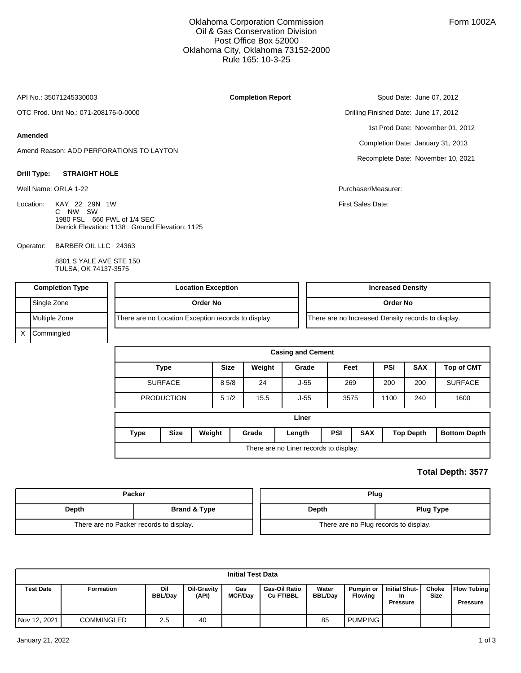## Oklahoma Corporation Commission Oil & Gas Conservation Division Post Office Box 52000 Oklahoma City, Oklahoma 73152-2000 Rule 165: 10-3-25

**Completion Report**

API No.: 35071245330003

OTC Prod. Unit No.: 071-208176-0-0000

#### **Amended**

Amend Reason: ADD PERFORATIONS TO LAYTON

#### **Drill Type: STRAIGHT HOLE**

Well Name: ORLA 1-22 **Purchaser/Measurer:** New York 2012 12:00 Purchaser/Measurer: Purchaser/Measurer:

Location: KAY 22 29N 1W C NW SW 1980 FSL 660 FWL of 1/4 SEC Derrick Elevation: 1138 Ground Elevation: 1125

BARBER OIL LLC 24363 Operator:

> 8801 S YALE AVE STE 150 TULSA, OK 74137-3575

Spud Date: June 07, 2012 Drilling Finished Date: June 17, 2012 1st Prod Date: November 01, 2012 Completion Date: January 31, 2013 Recomplete Date: November 10, 2021

First Sales Date:

| <b>Completion Type</b> | <b>Location Exception</b>                           | <b>Increased Density</b>                           |
|------------------------|-----------------------------------------------------|----------------------------------------------------|
| Single Zone            | Order No                                            | Order No                                           |
| Multiple Zone          | There are no Location Exception records to display. | There are no Increased Density records to display. |
| ( Commingled           |                                                     |                                                    |

|      |                   |        |             |        | <b>Casing and Cement</b>               |     |            |            |                  |                     |
|------|-------------------|--------|-------------|--------|----------------------------------------|-----|------------|------------|------------------|---------------------|
|      | <b>Type</b>       |        | <b>Size</b> | Weight | Grade                                  |     | Feet       | <b>PSI</b> | <b>SAX</b>       | <b>Top of CMT</b>   |
|      | <b>SURFACE</b>    |        | 85/8        | 24     | $J-55$                                 |     | 269        | 200        | 200              | <b>SURFACE</b>      |
|      | <b>PRODUCTION</b> |        | 51/2        | 15.5   | $J-55$                                 |     | 3575       | 1100       | 240              | 1600                |
|      |                   |        |             |        | Liner                                  |     |            |            |                  |                     |
| Type | <b>Size</b>       | Weight |             | Grade  | Length                                 | PSI | <b>SAX</b> |            | <b>Top Depth</b> | <b>Bottom Depth</b> |
|      |                   |        |             |        | There are no Liner records to display. |     |            |            |                  |                     |

## **Total Depth: 3577**

|       | <b>Packer</b>                           |       | Plug                                  |
|-------|-----------------------------------------|-------|---------------------------------------|
| Depth | <b>Brand &amp; Type</b>                 | Depth | <b>Plug Type</b>                      |
|       | There are no Packer records to display. |       | There are no Plug records to display. |

|                  |                   |                       |                             | <b>Initial Test Data</b> |                                          |                         |                                    |                                               |                      |                                       |
|------------------|-------------------|-----------------------|-----------------------------|--------------------------|------------------------------------------|-------------------------|------------------------------------|-----------------------------------------------|----------------------|---------------------------------------|
| <b>Test Date</b> | <b>Formation</b>  | Oil<br><b>BBL/Dav</b> | <b>Oil-Gravity</b><br>(API) | Gas<br><b>MCF/Day</b>    | <b>Gas-Oil Ratio</b><br><b>Cu FT/BBL</b> | Water<br><b>BBL/Dav</b> | <b>Pumpin or</b><br><b>Flowing</b> | Initial Shut-<br><b>In</b><br><b>Pressure</b> | Choke<br><b>Size</b> | <b>Flow Tubing</b><br><b>Pressure</b> |
| Nov 12, 2021     | <b>COMMINGLED</b> | 2.5                   | 40                          |                          |                                          | 85                      | <b>PUMPING</b>                     |                                               |                      |                                       |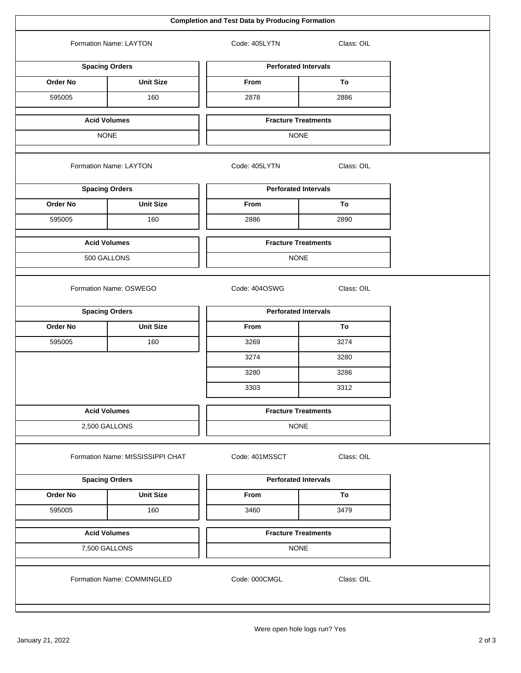| Formation Name: LAYTON<br><b>Spacing Orders</b><br>Order No<br>595005<br><b>Acid Volumes</b><br><b>NONE</b><br>Formation Name: LAYTON<br><b>Spacing Orders</b><br><b>Order No</b> | <b>Unit Size</b><br>160<br><b>Unit Size</b> | Code: 405LYTN<br><b>Perforated Intervals</b><br>From<br>2878<br><b>Fracture Treatments</b><br><b>NONE</b><br>Code: 405LYTN<br><b>Perforated Intervals</b> | Class: OIL<br>To<br>2886<br>Class: OIL |
|-----------------------------------------------------------------------------------------------------------------------------------------------------------------------------------|---------------------------------------------|-----------------------------------------------------------------------------------------------------------------------------------------------------------|----------------------------------------|
|                                                                                                                                                                                   |                                             |                                                                                                                                                           |                                        |
|                                                                                                                                                                                   |                                             |                                                                                                                                                           |                                        |
|                                                                                                                                                                                   |                                             |                                                                                                                                                           |                                        |
|                                                                                                                                                                                   |                                             |                                                                                                                                                           |                                        |
|                                                                                                                                                                                   |                                             |                                                                                                                                                           |                                        |
|                                                                                                                                                                                   |                                             |                                                                                                                                                           |                                        |
|                                                                                                                                                                                   |                                             |                                                                                                                                                           |                                        |
|                                                                                                                                                                                   |                                             |                                                                                                                                                           |                                        |
|                                                                                                                                                                                   |                                             | From                                                                                                                                                      | To                                     |
| 595005                                                                                                                                                                            | 160                                         | 2886                                                                                                                                                      | 2890                                   |
| <b>Acid Volumes</b>                                                                                                                                                               |                                             | <b>Fracture Treatments</b>                                                                                                                                |                                        |
| 500 GALLONS                                                                                                                                                                       |                                             | <b>NONE</b>                                                                                                                                               |                                        |
| Formation Name: OSWEGO                                                                                                                                                            |                                             | Code: 404OSWG                                                                                                                                             | Class: OIL                             |
| <b>Spacing Orders</b>                                                                                                                                                             |                                             | <b>Perforated Intervals</b>                                                                                                                               |                                        |
| Order No                                                                                                                                                                          | <b>Unit Size</b>                            | From                                                                                                                                                      | To                                     |
| 595005                                                                                                                                                                            | 160                                         | 3269                                                                                                                                                      | 3274                                   |
|                                                                                                                                                                                   |                                             | 3274                                                                                                                                                      | 3280                                   |
|                                                                                                                                                                                   |                                             | 3280                                                                                                                                                      | 3286                                   |
|                                                                                                                                                                                   |                                             | 3303                                                                                                                                                      | 3312                                   |
| <b>Acid Volumes</b>                                                                                                                                                               |                                             | <b>Fracture Treatments</b>                                                                                                                                |                                        |
| 2,500 GALLONS                                                                                                                                                                     |                                             | <b>NONE</b>                                                                                                                                               |                                        |
|                                                                                                                                                                                   | Formation Name: MISSISSIPPI CHAT            | Code: 401MSSCT                                                                                                                                            | Class: OIL                             |
| <b>Spacing Orders</b>                                                                                                                                                             |                                             | <b>Perforated Intervals</b>                                                                                                                               |                                        |
| Order No                                                                                                                                                                          | <b>Unit Size</b>                            | From                                                                                                                                                      | To                                     |
| 595005                                                                                                                                                                            | 160                                         | 3460                                                                                                                                                      | 3479                                   |
| <b>Acid Volumes</b>                                                                                                                                                               |                                             | <b>Fracture Treatments</b>                                                                                                                                |                                        |
| 7,500 GALLONS                                                                                                                                                                     |                                             | <b>NONE</b>                                                                                                                                               |                                        |
|                                                                                                                                                                                   | Formation Name: COMMINGLED                  | Code: 000CMGL                                                                                                                                             | Class: OIL                             |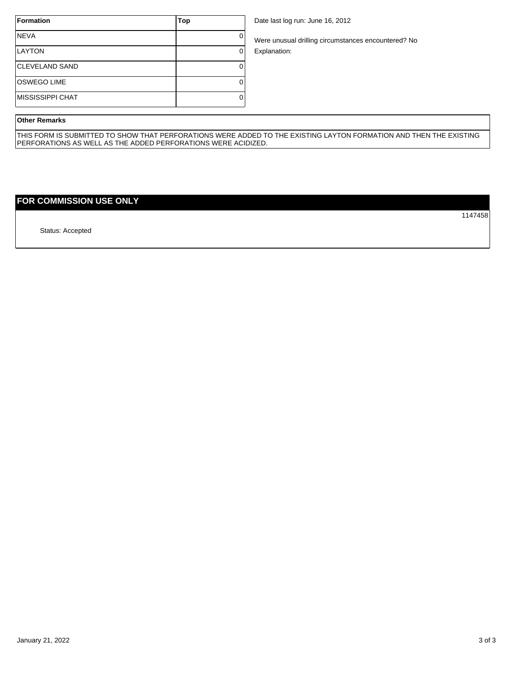| <b>Formation</b>        | Top |
|-------------------------|-----|
| <b>NEVA</b>             |     |
| <b>LAYTON</b>           |     |
| <b>CLEVELAND SAND</b>   |     |
| <b>OSWEGO LIME</b>      |     |
| <b>MISSISSIPPI CHAT</b> |     |

Date last log run: June 16, 2012

Were unusual drilling circumstances encountered? No Explanation:

### **Other Remarks**

THIS FORM IS SUBMITTED TO SHOW THAT PERFORATIONS WERE ADDED TO THE EXISTING LAYTON FORMATION AND THEN THE EXISTING PERFORATIONS AS WELL AS THE ADDED PERFORATIONS WERE ACIDIZED.

# **FOR COMMISSION USE ONLY**

Status: Accepted

1147458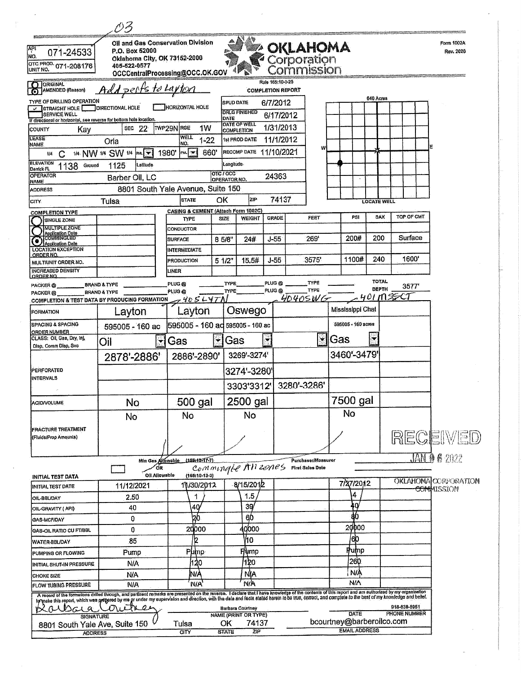|                                                                                            | がろ                                                                                                                                                                                                                                      |                                                                      |                           |                                                        |                          |                                                    |   |                                                   |                             |              |            |                             |
|--------------------------------------------------------------------------------------------|-----------------------------------------------------------------------------------------------------------------------------------------------------------------------------------------------------------------------------------------|----------------------------------------------------------------------|---------------------------|--------------------------------------------------------|--------------------------|----------------------------------------------------|---|---------------------------------------------------|-----------------------------|--------------|------------|-----------------------------|
| API<br>071-24533<br>NO.<br>OTC PROD. 071-208176<br>UNIT NO.                                | P.O. Box 52000<br>Oklahoma City, OK 73152-2000<br>405-522-0577                                                                                                                                                                          | Oil and Gas Conservation Division<br>OCCCentralProcessing@OCC.OK.GOV |                           |                                                        |                          | <b>OKLAHOMA</b><br>Corporation<br><b>ommission</b> |   |                                                   |                             |              |            | Form 1002A<br>Rev. 2020     |
| O ORIGINAL                                                                                 |                                                                                                                                                                                                                                         |                                                                      |                           |                                                        | Rule 165:10-3-25         |                                                    |   |                                                   |                             |              |            |                             |
| AMENDED (Reason)                                                                           | Add perfs to Layton                                                                                                                                                                                                                     |                                                                      |                           |                                                        | <b>COMPLETION REPORT</b> |                                                    |   |                                                   | 640 Acres                   |              |            |                             |
| TYPE OF DRILLING OPERATION<br>U STRAIGHT HOLE                                              | <b>JOIRECTIONAL HOLE</b>                                                                                                                                                                                                                | <b>HORIZONTAL HOLE</b>                                               | <b>SPUD DATE</b>          | <b>DRLG FINISHED</b>                                   | 6/7/2012                 |                                                    |   |                                                   |                             |              |            |                             |
| <b>SERVICE WELL</b><br>If directional or horizontal, see reverse for bottom hole location. |                                                                                                                                                                                                                                         |                                                                      | DATE                      | DATE OF WELL                                           | 6/17/2012                |                                                    |   |                                                   |                             |              |            |                             |
| COUNTY<br>Kay<br><b>LEASE</b>                                                              | <b>SEC 22</b>                                                                                                                                                                                                                           | TWP29N RGE<br>1W<br><b>WELL</b>                                      | <b>COMPLETION</b>         |                                                        | 1/31/2013                |                                                    |   |                                                   |                             |              |            |                             |
| NAME                                                                                       | Orla                                                                                                                                                                                                                                    | $1 - 22$<br>NÓ.                                                      |                           | 1st PROD DATE                                          | 11/1/2012                |                                                    | w |                                                   |                             |              |            |                             |
| 174<br>С<br><b>ELEVATION</b>                                                               | 1/4 NW 1/4 SW 1/4 FM                                                                                                                                                                                                                    | 660<br>1980'<br>$ \mathsf{rw}  =$                                    |                           | RECOMP DATE 11/10/2021                                 |                          |                                                    |   |                                                   |                             |              |            |                             |
| 1138<br>Ground<br>Demck FL<br><b>OPERATOR</b>                                              | 1125<br>Lallude                                                                                                                                                                                                                         |                                                                      | Longitude<br>OTC/OCC      |                                                        |                          |                                                    |   |                                                   |                             |              |            |                             |
| <b>NAME</b>                                                                                | Barber Oil, LC                                                                                                                                                                                                                          |                                                                      | OPERATOR NO.              |                                                        | 24363                    |                                                    |   |                                                   |                             |              |            |                             |
| <b>ADDRESS</b>                                                                             |                                                                                                                                                                                                                                         | 8801 South Yale Avenue, Suite 150<br><b>STATE</b>                    |                           | lzıp.                                                  | 74137                    |                                                    |   |                                                   |                             |              |            |                             |
| <b>CITY</b>                                                                                | Tulsa                                                                                                                                                                                                                                   | CASING & CEMENT (Attach Form 1002C)                                  | ОΚ                        |                                                        |                          |                                                    |   |                                                   | <b>LOCATE WELL</b>          |              |            |                             |
| <b>COMPLETION TYPE</b><br>SINGLE ZONE                                                      |                                                                                                                                                                                                                                         | TYPE                                                                 | <b>SIZE</b>               | WEIGHT                                                 | <b>GRADE</b>             | FEET                                               |   | PSI                                               | SAX                         |              | TOP OF CMT |                             |
| <b>MULTIPLE ZONE</b><br>Application Date                                                   |                                                                                                                                                                                                                                         | CONDUCTOR                                                            |                           |                                                        |                          |                                                    |   |                                                   |                             |              | Surface    |                             |
| <b>Application Date</b><br><b>LOCATION EXCEPTION</b>                                       |                                                                                                                                                                                                                                         | <b>SURFACE</b><br><b>INTERMEDIATE</b>                                | 8 5/8"                    | 24#                                                    | $J-55$                   | 269'                                               |   | 200#                                              | 200                         |              |            |                             |
| ORDER NO.<br>MULTIUNIT ORDER NO.                                                           |                                                                                                                                                                                                                                         | <b>PRODUCTION</b>                                                    | 51/2"                     | 15.5#                                                  | J-55                     | 3575'                                              |   | 1100#                                             | 240                         |              | 1600'      |                             |
| <b>INCREASED DENSITY</b>                                                                   |                                                                                                                                                                                                                                         | LINER                                                                |                           |                                                        |                          |                                                    |   |                                                   |                             |              |            |                             |
| ORDER NO.<br>PACKER @                                                                      | <b>BRAND &amp; TYPE</b>                                                                                                                                                                                                                 | PLUG <sub>®</sub>                                                    | TYPE                      |                                                        | PLUG <sub>®</sub>        | TYPE                                               |   |                                                   | <b>TOTAL</b>                |              | 3577'      |                             |
| PACKER <sub>®</sub>                                                                        | BRAND & TYPE                                                                                                                                                                                                                            | PLUG <sub>@</sub>                                                    | <b>TYPE</b>               |                                                        | PLUG@                    | <b>TYPE</b><br>40405WG                             |   |                                                   | <b>DEPTH</b><br>$401 - 105$ |              |            |                             |
| <b>COMPLETION &amp; TEST DATA BY PRODUCING FORMATION</b><br><b>FORMATION</b>               | Layton                                                                                                                                                                                                                                  | $7405L47\Lambda$<br>Layton                                           |                           | Oswego                                                 |                          |                                                    |   | Mississippi Chat                                  |                             |              |            |                             |
| <b>SPACING &amp; SPACING</b><br><b>ORDER NUMBER</b>                                        | 595005 - 160 ac                                                                                                                                                                                                                         | 595005 - 160 ad 595005 - 160 ac                                      |                           |                                                        |                          |                                                    |   | 595005 - 160 acres                                |                             |              |            |                             |
| CLASS: OII, Gas, Dry, Inj,<br>Disp, Comm Disp, Svo                                         | $\mathbf{r}$<br>Oil                                                                                                                                                                                                                     | Ŷ<br>Gas                                                             | Gas                       |                                                        | ž                        |                                                    | ÷ | lGas                                              | $\tilde{\mathbf{r}}$        |              |            |                             |
|                                                                                            | 2878'-2886'                                                                                                                                                                                                                             | 2886'-2890'                                                          |                           | 3269'-3274'                                            |                          |                                                    |   | 3460'-3479'                                       |                             |              |            |                             |
| PERFORATED<br><b>INTERVALS</b>                                                             |                                                                                                                                                                                                                                         |                                                                      |                           | 3274'-3280'                                            |                          |                                                    |   |                                                   |                             |              |            |                             |
|                                                                                            |                                                                                                                                                                                                                                         |                                                                      |                           | 3303'3312'                                             |                          | 3280'-3286'                                        |   |                                                   |                             |              |            |                             |
| <b>ACID/VOLUME</b>                                                                         | No                                                                                                                                                                                                                                      | 500 gal                                                              |                           | 2500 gal                                               |                          |                                                    |   | 7500 gal                                          |                             |              |            |                             |
|                                                                                            | No                                                                                                                                                                                                                                      | No                                                                   |                           | No                                                     |                          |                                                    |   | No.                                               |                             |              |            |                             |
| <b>FRACTURE TREATMENT</b><br>(Fluids/Prop Amounts)                                         |                                                                                                                                                                                                                                         |                                                                      |                           |                                                        |                          |                                                    |   |                                                   |                             |              |            | RECEIVED                    |
|                                                                                            |                                                                                                                                                                                                                                         |                                                                      |                           |                                                        |                          |                                                    |   |                                                   |                             |              |            | <b>JAN 0 6 2022</b>         |
|                                                                                            | Min Gas Allowable<br>oR                                                                                                                                                                                                                 | (165:10-17-7)<br>Commingle All zones                                 |                           |                                                        |                          | Purchaser/Moasuror<br><b>First Sales Date</b>      |   |                                                   |                             |              |            |                             |
| INITIAL TEST DATA                                                                          | Oll Allowable                                                                                                                                                                                                                           | $(166:10-13-3)$                                                      |                           |                                                        |                          |                                                    |   | 7/27/2012                                         |                             |              |            | <b>OKLAHOMA</b> CORPORATION |
| INITIAL TEST DATE                                                                          | 11/12/2021                                                                                                                                                                                                                              | 10/30/2012                                                           |                           | 8/15/2012                                              |                          |                                                    |   | 4                                                 |                             |              |            | <del>com</del> mission      |
| OIL-BBL/DAY<br>OIL-GRAVITY (API)                                                           | 2.50<br>40                                                                                                                                                                                                                              | 1<br>40                                                              |                           | 1.5<br>39                                              |                          |                                                    |   | ίO                                                |                             |              |            |                             |
| GAS-MCF/DAY                                                                                | 0                                                                                                                                                                                                                                       | 120                                                                  |                           | 6,0                                                    |                          |                                                    |   | åb                                                |                             |              |            |                             |
| GAS-OIL RATIO CU FT/BBL                                                                    | 0                                                                                                                                                                                                                                       | 20000                                                                |                           | 10000                                                  |                          |                                                    |   | 20000                                             |                             |              |            |                             |
| <b>WATER-BBL/DAY</b>                                                                       | .85                                                                                                                                                                                                                                     |                                                                      |                           | V10                                                    |                          |                                                    |   | /do                                               |                             |              |            |                             |
| PUMPING OR FLOWING                                                                         | Pump                                                                                                                                                                                                                                    | Pump.                                                                |                           | <b>Flump</b>                                           |                          |                                                    |   | <b>Pump</b>                                       |                             |              |            |                             |
| INITIAL SHUT-IN PRESSURE                                                                   | <b>N/A</b>                                                                                                                                                                                                                              | h20                                                                  |                           | /120                                                   |                          |                                                    |   | 260                                               |                             |              |            |                             |
| CHOKE SIZE                                                                                 | N/A                                                                                                                                                                                                                                     | N/À                                                                  |                           | <b>NIA</b>                                             |                          |                                                    |   | <b>N/A</b><br><b>N/A</b>                          |                             |              |            |                             |
| FLOW TUBING PRESSURE                                                                       | <b>N/A</b>                                                                                                                                                                                                                              | NIA                                                                  |                           | <b>N/A</b>                                             |                          |                                                    |   |                                                   |                             |              |            |                             |
| alsa                                                                                       | A record of the formalions drifted through, and partinent remarks are presented on the reverse. I declare that I have knowledge of the contents of this report and am authorized by my organization<br>In pake this report, which<br>ГT |                                                                      |                           |                                                        |                          |                                                    |   |                                                   |                             | 918-838-5951 |            |                             |
| -a<br><b>SIGNATURE</b>                                                                     |                                                                                                                                                                                                                                         |                                                                      |                           | <b>Barbara Courtney</b><br><b>NAME (PRINT OR TYPE)</b> |                          |                                                    |   | <b>DATE</b>                                       |                             | PHONE NUMBER |            |                             |
| 8801 South Yale Ave, Suite 150<br><b>ADDRESS</b>                                           |                                                                                                                                                                                                                                         | Tulsa<br>CITY                                                        | <b>OK</b><br><b>STATE</b> | 74137<br><b>ZIP</b>                                    |                          |                                                    |   | bcourtney@barberollco.com<br><b>EMAIL ADDRESS</b> |                             |              |            |                             |